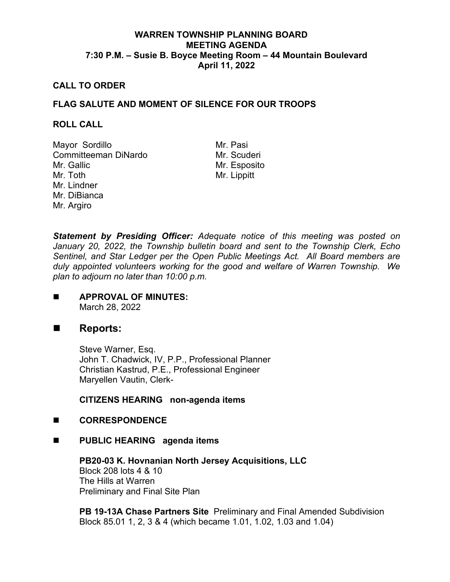## **WARREN TOWNSHIP PLANNING BOARD MEETING AGENDA 7:30 P.M. – Susie B. Boyce Meeting Room – 44 Mountain Boulevard April 11, 2022**

### **CALL TO ORDER**

## **FLAG SALUTE AND MOMENT OF SILENCE FOR OUR TROOPS**

#### **ROLL CALL**

Mayor Sordillo Mr. Pasi Committeeman DiNardo Mr. Gallic Mr. Toth Mr. Lindner Mr. DiBianca Mr. Argiro

Mr. Esposito Mr. Lippitt

*Statement by Presiding Officer: Adequate notice of this meeting was posted on January 20, 2022, the Township bulletin board and sent to the Township Clerk, Echo Sentinel, and Star Ledger per the Open Public Meetings Act. All Board members are duly appointed volunteers working for the good and welfare of Warren Township. We plan to adjourn no later than 10:00 p.m.*

**APPROVAL OF MINUTES:** March 28, 2022

# ■ Reports:

Steve Warner, Esq. John T. Chadwick, IV, P.P., Professional Planner Christian Kastrud, P.E., Professional Engineer Maryellen Vautin, Clerk-

**CITIZENS HEARING non-agenda items**

### **CORRESPONDENCE**

**PUBLIC HEARING agenda items**

**PB20-03 K. Hovnanian North Jersey Acquisitions, LLC** Block 208 lots 4 & 10 The Hills at Warren Preliminary and Final Site Plan

**PB 19-13A Chase Partners Site** Preliminary and Final Amended Subdivision Block 85.01 1, 2, 3 & 4 (which became 1.01, 1.02, 1.03 and 1.04)